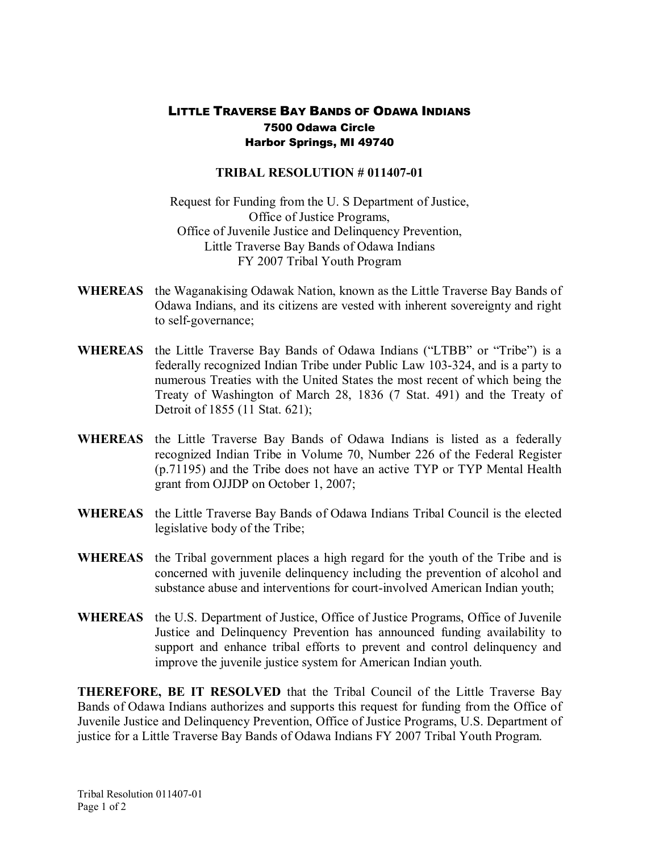## LITTLE TRAVERSE BAY BANDS OF ODAWA INDIANS 7500 Odawa Circle Harbor Springs, MI 49740

## **TRIBAL RESOLUTION # 011407-01**

Request for Funding from the U. S Department of Justice, Office of Justice Programs, Office of Juvenile Justice and Delinquency Prevention, Little Traverse Bay Bands of Odawa Indians FY 2007 Tribal Youth Program

- **WHEREAS** the Waganakising Odawak Nation, known as the Little Traverse Bay Bands of Odawa Indians, and its citizens are vested with inherent sovereignty and right to self-governance;
- **WHEREAS** the Little Traverse Bay Bands of Odawa Indians ("LTBB" or "Tribe") is a federally recognized Indian Tribe under Public Law 103-324, and is a party to numerous Treaties with the United States the most recent of which being the Treaty of Washington of March 28, 1836 (7 Stat. 491) and the Treaty of Detroit of 1855 (11 Stat. 621);
- WHEREAS the Little Traverse Bay Bands of Odawa Indians is listed as a federally recognized Indian Tribe in Volume 70, Number 226 of the Federal Register (p.71195) and the Tribe does not have an active TYP or TYP Mental Health grant from OJJDP on October 1, 2007;
- **WHEREAS** the Little Traverse Bay Bands of Odawa Indians Tribal Council is the elected legislative body of the Tribe;
- **WHEREAS** the Tribal government places a high regard for the youth of the Tribe and is concerned with juvenile delinquency including the prevention of alcohol and substance abuse and interventions for court-involved American Indian youth;
- **WHEREAS** the U.S. Department of Justice, Office of Justice Programs, Office of Juvenile Justice and Delinquency Prevention has announced funding availability to support and enhance tribal efforts to prevent and control delinquency and improve the juvenile justice system for American Indian youth.

**THEREFORE, BE IT RESOLVED** that the Tribal Council of the Little Traverse Bay Bands of Odawa Indians authorizes and supports this request for funding from the Office of Juvenile Justice and Delinquency Prevention, Office of Justice Programs, U.S. Department of justice for a Little Traverse Bay Bands of Odawa Indians FY 2007 Tribal Youth Program.